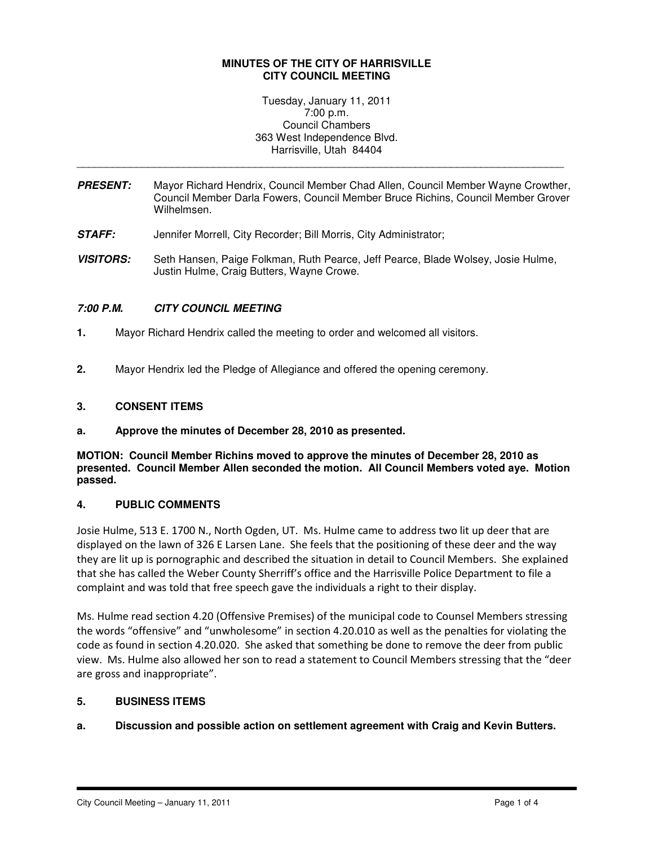## **MINUTES OF THE CITY OF HARRISVILLE CITY COUNCIL MEETING**

Tuesday, January 11, 2011 7:00 p.m. Council Chambers 363 West Independence Blvd. Harrisville, Utah 84404

**PRESENT:** Mayor Richard Hendrix, Council Member Chad Allen, Council Member Wayne Crowther, Council Member Darla Fowers, Council Member Bruce Richins, Council Member Grover Wilhelmsen.

\_\_\_\_\_\_\_\_\_\_\_\_\_\_\_\_\_\_\_\_\_\_\_\_\_\_\_\_\_\_\_\_\_\_\_\_\_\_\_\_\_\_\_\_\_\_\_\_\_\_\_\_\_\_\_\_\_\_\_\_\_\_\_\_\_\_\_\_\_\_\_\_\_\_\_\_\_\_\_\_\_\_

- **STAFF:** Jennifer Morrell, City Recorder; Bill Morris, City Administrator;
- **VISITORS:** Seth Hansen, Paige Folkman, Ruth Pearce, Jeff Pearce, Blade Wolsey, Josie Hulme, Justin Hulme, Craig Butters, Wayne Crowe.

# **7:00 P.M. CITY COUNCIL MEETING**

- **1.** Mayor Richard Hendrix called the meeting to order and welcomed all visitors.
- **2.** Mayor Hendrix led the Pledge of Allegiance and offered the opening ceremony.

## **3. CONSENT ITEMS**

**a. Approve the minutes of December 28, 2010 as presented.** 

**MOTION: Council Member Richins moved to approve the minutes of December 28, 2010 as presented. Council Member Allen seconded the motion. All Council Members voted aye. Motion passed.** 

### **4. PUBLIC COMMENTS**

Josie Hulme, 513 E. 1700 N., North Ogden, UT. Ms. Hulme came to address two lit up deer that are displayed on the lawn of 326 E Larsen Lane. She feels that the positioning of these deer and the way they are lit up is pornographic and described the situation in detail to Council Members. She explained that she has called the Weber County Sherriff's office and the Harrisville Police Department to file a complaint and was told that free speech gave the individuals a right to their display.

Ms. Hulme read section 4.20 (Offensive Premises) of the municipal code to Counsel Members stressing the words "offensive" and "unwholesome" in section 4.20.010 as well as the penalties for violating the code as found in section 4.20.020. She asked that something be done to remove the deer from public view. Ms. Hulme also allowed her son to read a statement to Council Members stressing that the "deer are gross and inappropriate".

# **5. BUSINESS ITEMS**

# **a. Discussion and possible action on settlement agreement with Craig and Kevin Butters.**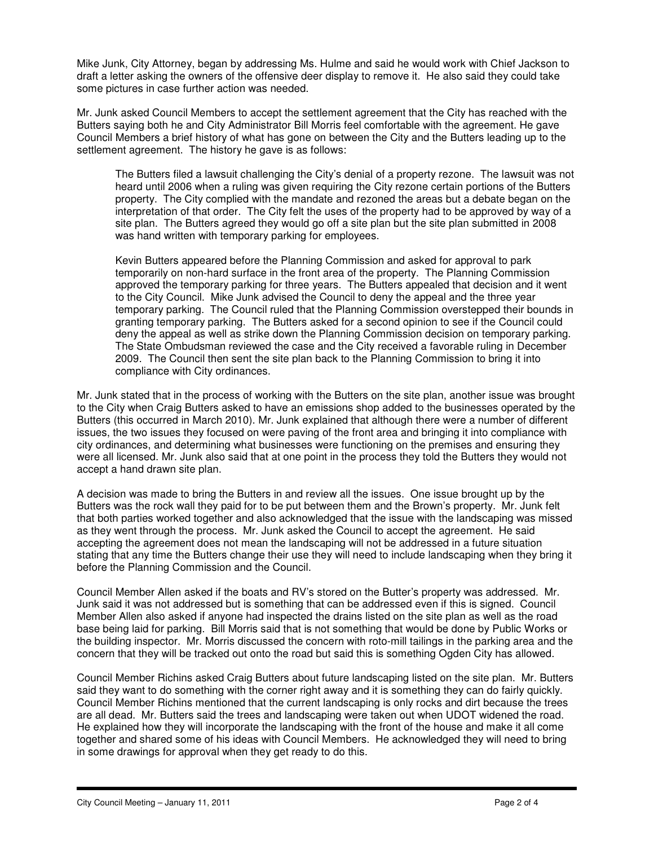Mike Junk, City Attorney, began by addressing Ms. Hulme and said he would work with Chief Jackson to draft a letter asking the owners of the offensive deer display to remove it. He also said they could take some pictures in case further action was needed.

Mr. Junk asked Council Members to accept the settlement agreement that the City has reached with the Butters saying both he and City Administrator Bill Morris feel comfortable with the agreement. He gave Council Members a brief history of what has gone on between the City and the Butters leading up to the settlement agreement. The history he gave is as follows:

The Butters filed a lawsuit challenging the City's denial of a property rezone. The lawsuit was not heard until 2006 when a ruling was given requiring the City rezone certain portions of the Butters property. The City complied with the mandate and rezoned the areas but a debate began on the interpretation of that order. The City felt the uses of the property had to be approved by way of a site plan. The Butters agreed they would go off a site plan but the site plan submitted in 2008 was hand written with temporary parking for employees.

Kevin Butters appeared before the Planning Commission and asked for approval to park temporarily on non-hard surface in the front area of the property. The Planning Commission approved the temporary parking for three years. The Butters appealed that decision and it went to the City Council. Mike Junk advised the Council to deny the appeal and the three year temporary parking. The Council ruled that the Planning Commission overstepped their bounds in granting temporary parking. The Butters asked for a second opinion to see if the Council could deny the appeal as well as strike down the Planning Commission decision on temporary parking. The State Ombudsman reviewed the case and the City received a favorable ruling in December 2009. The Council then sent the site plan back to the Planning Commission to bring it into compliance with City ordinances.

Mr. Junk stated that in the process of working with the Butters on the site plan, another issue was brought to the City when Craig Butters asked to have an emissions shop added to the businesses operated by the Butters (this occurred in March 2010). Mr. Junk explained that although there were a number of different issues, the two issues they focused on were paving of the front area and bringing it into compliance with city ordinances, and determining what businesses were functioning on the premises and ensuring they were all licensed. Mr. Junk also said that at one point in the process they told the Butters they would not accept a hand drawn site plan.

A decision was made to bring the Butters in and review all the issues. One issue brought up by the Butters was the rock wall they paid for to be put between them and the Brown's property. Mr. Junk felt that both parties worked together and also acknowledged that the issue with the landscaping was missed as they went through the process. Mr. Junk asked the Council to accept the agreement. He said accepting the agreement does not mean the landscaping will not be addressed in a future situation stating that any time the Butters change their use they will need to include landscaping when they bring it before the Planning Commission and the Council.

Council Member Allen asked if the boats and RV's stored on the Butter's property was addressed. Mr. Junk said it was not addressed but is something that can be addressed even if this is signed. Council Member Allen also asked if anyone had inspected the drains listed on the site plan as well as the road base being laid for parking. Bill Morris said that is not something that would be done by Public Works or the building inspector. Mr. Morris discussed the concern with roto-mill tailings in the parking area and the concern that they will be tracked out onto the road but said this is something Ogden City has allowed.

Council Member Richins asked Craig Butters about future landscaping listed on the site plan. Mr. Butters said they want to do something with the corner right away and it is something they can do fairly quickly. Council Member Richins mentioned that the current landscaping is only rocks and dirt because the trees are all dead. Mr. Butters said the trees and landscaping were taken out when UDOT widened the road. He explained how they will incorporate the landscaping with the front of the house and make it all come together and shared some of his ideas with Council Members. He acknowledged they will need to bring in some drawings for approval when they get ready to do this.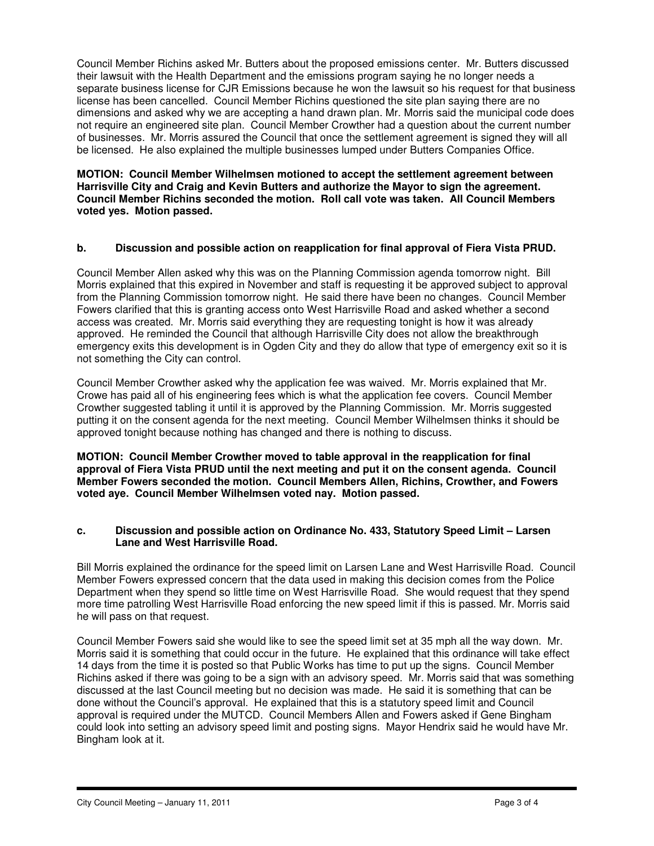Council Member Richins asked Mr. Butters about the proposed emissions center. Mr. Butters discussed their lawsuit with the Health Department and the emissions program saying he no longer needs a separate business license for CJR Emissions because he won the lawsuit so his request for that business license has been cancelled. Council Member Richins questioned the site plan saying there are no dimensions and asked why we are accepting a hand drawn plan. Mr. Morris said the municipal code does not require an engineered site plan. Council Member Crowther had a question about the current number of businesses. Mr. Morris assured the Council that once the settlement agreement is signed they will all be licensed. He also explained the multiple businesses lumped under Butters Companies Office.

**MOTION: Council Member Wilhelmsen motioned to accept the settlement agreement between Harrisville City and Craig and Kevin Butters and authorize the Mayor to sign the agreement. Council Member Richins seconded the motion. Roll call vote was taken. All Council Members voted yes. Motion passed.** 

## **b. Discussion and possible action on reapplication for final approval of Fiera Vista PRUD.**

Council Member Allen asked why this was on the Planning Commission agenda tomorrow night. Bill Morris explained that this expired in November and staff is requesting it be approved subject to approval from the Planning Commission tomorrow night. He said there have been no changes. Council Member Fowers clarified that this is granting access onto West Harrisville Road and asked whether a second access was created. Mr. Morris said everything they are requesting tonight is how it was already approved. He reminded the Council that although Harrisville City does not allow the breakthrough emergency exits this development is in Ogden City and they do allow that type of emergency exit so it is not something the City can control.

Council Member Crowther asked why the application fee was waived. Mr. Morris explained that Mr. Crowe has paid all of his engineering fees which is what the application fee covers. Council Member Crowther suggested tabling it until it is approved by the Planning Commission. Mr. Morris suggested putting it on the consent agenda for the next meeting. Council Member Wilhelmsen thinks it should be approved tonight because nothing has changed and there is nothing to discuss.

**MOTION: Council Member Crowther moved to table approval in the reapplication for final approval of Fiera Vista PRUD until the next meeting and put it on the consent agenda. Council Member Fowers seconded the motion. Council Members Allen, Richins, Crowther, and Fowers voted aye. Council Member Wilhelmsen voted nay. Motion passed.** 

### **c. Discussion and possible action on Ordinance No. 433, Statutory Speed Limit – Larsen Lane and West Harrisville Road.**

Bill Morris explained the ordinance for the speed limit on Larsen Lane and West Harrisville Road. Council Member Fowers expressed concern that the data used in making this decision comes from the Police Department when they spend so little time on West Harrisville Road. She would request that they spend more time patrolling West Harrisville Road enforcing the new speed limit if this is passed. Mr. Morris said he will pass on that request.

Council Member Fowers said she would like to see the speed limit set at 35 mph all the way down. Mr. Morris said it is something that could occur in the future. He explained that this ordinance will take effect 14 days from the time it is posted so that Public Works has time to put up the signs. Council Member Richins asked if there was going to be a sign with an advisory speed. Mr. Morris said that was something discussed at the last Council meeting but no decision was made. He said it is something that can be done without the Council's approval. He explained that this is a statutory speed limit and Council approval is required under the MUTCD. Council Members Allen and Fowers asked if Gene Bingham could look into setting an advisory speed limit and posting signs. Mayor Hendrix said he would have Mr. Bingham look at it.